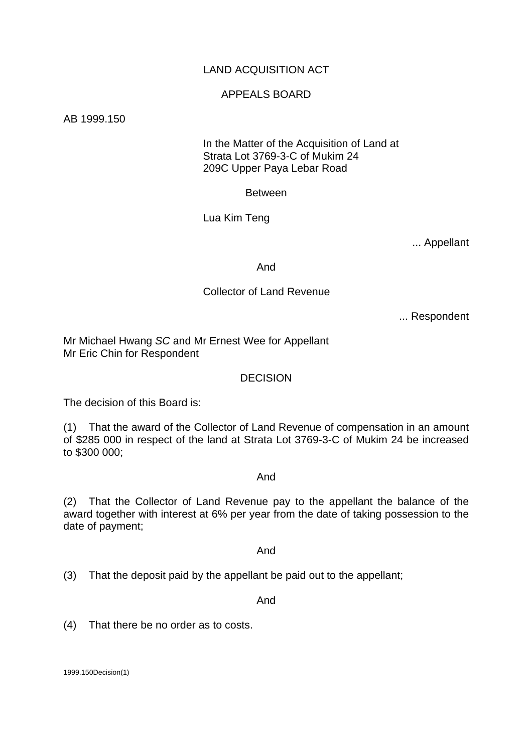# LAND ACQUISITION ACT

## APPEALS BOARD

AB 1999.150

 In the Matter of the Acquisition of Land at Strata Lot 3769-3-C of Mukim 24 209C Upper Paya Lebar Road

Between

Lua Kim Teng

... Appellant

And

## Collector of Land Revenue

... Respondent

Mr Michael Hwang *SC* and Mr Ernest Wee for Appellant Mr Eric Chin for Respondent

#### DECISION

The decision of this Board is:

(1) That the award of the Collector of Land Revenue of compensation in an amount of \$285 000 in respect of the land at Strata Lot 3769-3-C of Mukim 24 be increased to \$300 000;

#### And

(2) That the Collector of Land Revenue pay to the appellant the balance of the award together with interest at 6% per year from the date of taking possession to the date of payment;

And

(3) That the deposit paid by the appellant be paid out to the appellant;

And

(4) That there be no order as to costs.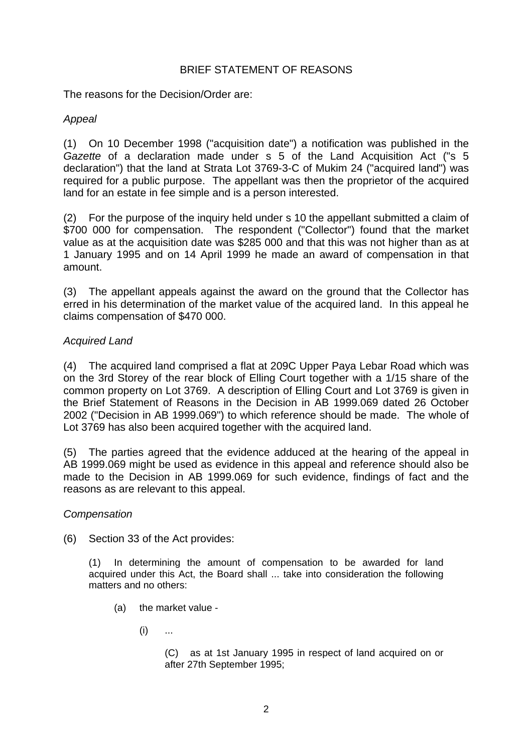## BRIEF STATEMENT OF REASONS

The reasons for the Decision/Order are:

# *Appeal*

(1) On 10 December 1998 ("acquisition date") a notification was published in the *Gazette* of a declaration made under s 5 of the Land Acquisition Act ("s 5 declaration") that the land at Strata Lot 3769-3-C of Mukim 24 ("acquired land") was required for a public purpose. The appellant was then the proprietor of the acquired land for an estate in fee simple and is a person interested.

(2) For the purpose of the inquiry held under s 10 the appellant submitted a claim of \$700 000 for compensation. The respondent ("Collector") found that the market value as at the acquisition date was \$285 000 and that this was not higher than as at 1 January 1995 and on 14 April 1999 he made an award of compensation in that amount.

(3) The appellant appeals against the award on the ground that the Collector has erred in his determination of the market value of the acquired land. In this appeal he claims compensation of \$470 000.

# *Acquired Land*

(4) The acquired land comprised a flat at 209C Upper Paya Lebar Road which was on the 3rd Storey of the rear block of Elling Court together with a 1/15 share of the common property on Lot 3769. A description of Elling Court and Lot 3769 is given in the Brief Statement of Reasons in the Decision in AB 1999.069 dated 26 October 2002 ("Decision in AB 1999.069") to which reference should be made. The whole of Lot 3769 has also been acquired together with the acquired land.

(5) The parties agreed that the evidence adduced at the hearing of the appeal in AB 1999.069 might be used as evidence in this appeal and reference should also be made to the Decision in AB 1999.069 for such evidence, findings of fact and the reasons as are relevant to this appeal.

## *Compensation*

(6) Section 33 of the Act provides:

(1) In determining the amount of compensation to be awarded for land acquired under this Act, the Board shall ... take into consideration the following matters and no others:

- (a) the market value
	- $(i)$  ...

(C) as at 1st January 1995 in respect of land acquired on or after 27th September 1995;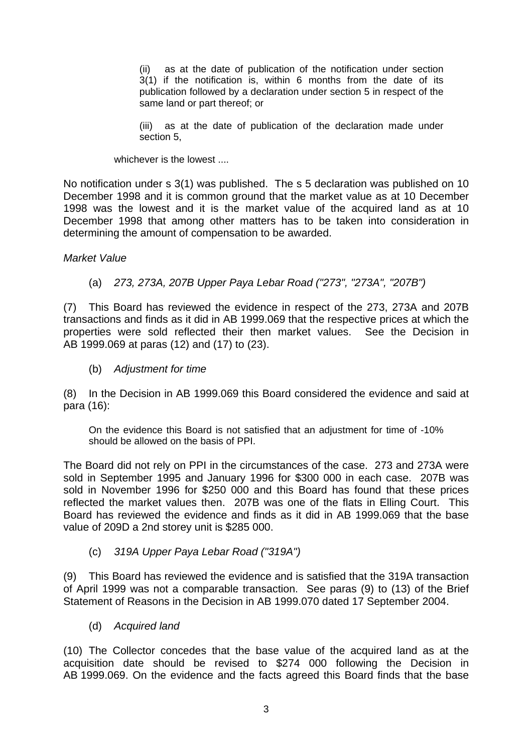(ii) as at the date of publication of the notification under section 3(1) if the notification is, within 6 months from the date of its publication followed by a declaration under section 5 in respect of the same land or part thereof; or

(iii) as at the date of publication of the declaration made under section 5,

whichever is the lowest ....

No notification under s 3(1) was published. The s 5 declaration was published on 10 December 1998 and it is common ground that the market value as at 10 December 1998 was the lowest and it is the market value of the acquired land as at 10 December 1998 that among other matters has to be taken into consideration in determining the amount of compensation to be awarded.

## *Market Value*

(a) *273, 273A, 207B Upper Paya Lebar Road ("273", "273A", "207B")* 

(7) This Board has reviewed the evidence in respect of the 273, 273A and 207B transactions and finds as it did in AB 1999.069 that the respective prices at which the properties were sold reflected their then market values. See the Decision in AB 1999.069 at paras (12) and (17) to (23).

(b) *Adjustment for time* 

(8) In the Decision in AB 1999.069 this Board considered the evidence and said at para (16):

On the evidence this Board is not satisfied that an adjustment for time of -10% should be allowed on the basis of PPI.

The Board did not rely on PPI in the circumstances of the case. 273 and 273A were sold in September 1995 and January 1996 for \$300 000 in each case. 207B was sold in November 1996 for \$250 000 and this Board has found that these prices reflected the market values then. 207B was one of the flats in Elling Court. This Board has reviewed the evidence and finds as it did in AB 1999.069 that the base value of 209D a 2nd storey unit is \$285 000.

(c) *319A Upper Paya Lebar Road ("319A")* 

(9) This Board has reviewed the evidence and is satisfied that the 319A transaction of April 1999 was not a comparable transaction. See paras (9) to (13) of the Brief Statement of Reasons in the Decision in AB 1999.070 dated 17 September 2004.

(d) *Acquired land* 

(10) The Collector concedes that the base value of the acquired land as at the acquisition date should be revised to \$274 000 following the Decision in AB 1999.069. On the evidence and the facts agreed this Board finds that the base